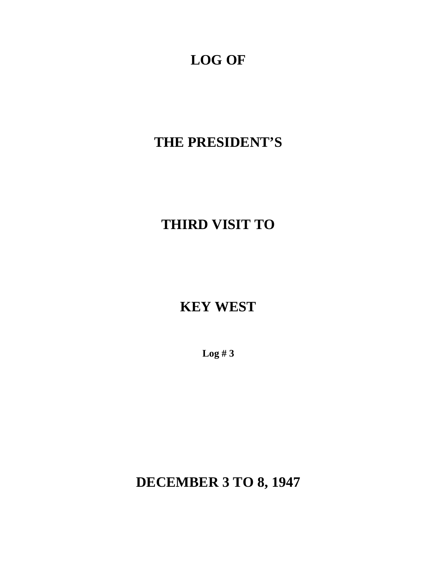# **LOG OF**

## **THE PRESIDENT'S**

# **THIRD VISIT TO**

## **KEY WEST**

**Log # 3** 

**DECEMBER 3 TO 8, 1947**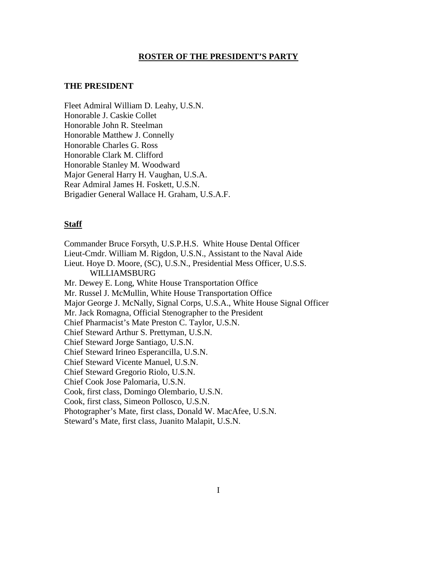#### **ROSTER OF THE PRESIDENT'S PARTY**

### **THE PRESIDENT**

Fleet Admiral William D. Leahy, U.S.N. Honorable J. Caskie Collet Honorable John R. Steelman Honorable Matthew J. Connelly Honorable Charles G. Ross Honorable Clark M. Clifford Honorable Stanley M. Woodward Major General Harry H. Vaughan, U.S.A. Rear Admiral James H. Foskett, U.S.N. Brigadier General Wallace H. Graham, U.S.A.F.

#### **Staff**

Commander Bruce Forsyth, U.S.P.H.S. White House Dental Officer Lieut-Cmdr. William M. Rigdon, U.S.N., Assistant to the Naval Aide Lieut. Hoye D. Moore, (SC), U.S.N., Presidential Mess Officer, U.S.S. WILLIAMSBURG Mr. Dewey E. Long, White House Transportation Office Mr. Russel J. McMullin, White House Transportation Office Major George J. McNally, Signal Corps, U.S.A., White House Signal Officer Mr. Jack Romagna, Official Stenographer to the President Chief Pharmacist's Mate Preston C. Taylor, U.S.N. Chief Steward Arthur S. Prettyman, U.S.N. Chief Steward Jorge Santiago, U.S.N. Chief Steward Irineo Esperancilla, U.S.N. Chief Steward Vicente Manuel, U.S.N. Chief Steward Gregorio Riolo, U.S.N. Chief Cook Jose Palomaria, U.S.N. Cook, first class, Domingo Olembario, U.S.N. Cook, first class, Simeon Pollosco, U.S.N. Photographer's Mate, first class, Donald W. MacAfee, U.S.N. Steward's Mate, first class, Juanito Malapit, U.S.N.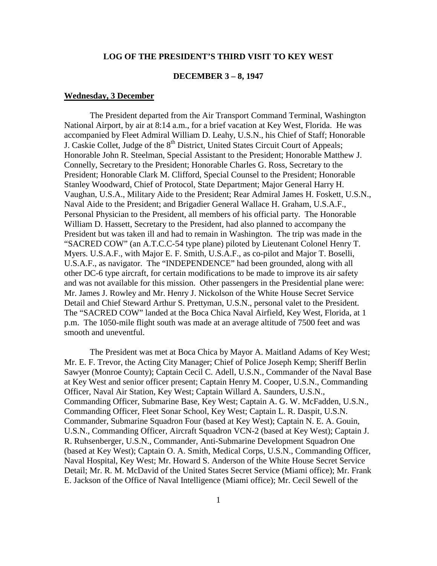### **LOG OF THE PRESIDENT'S THIRD VISIT TO KEY WEST**

#### **DECEMBER 3 – 8, 1947**

#### **Wednesday, 3 December**

The President departed from the Air Transport Command Terminal, Washington National Airport, by air at 8:14 a.m., for a brief vacation at Key West, Florida. He was accompanied by Fleet Admiral William D. Leahy, U.S.N., his Chief of Staff; Honorable J. Caskie Collet, Judge of the  $8<sup>th</sup>$  District, United States Circuit Court of Appeals; Honorable John R. Steelman, Special Assistant to the President; Honorable Matthew J. Connelly, Secretary to the President; Honorable Charles G. Ross, Secretary to the President; Honorable Clark M. Clifford, Special Counsel to the President; Honorable Stanley Woodward, Chief of Protocol, State Department; Major General Harry H. Vaughan, U.S.A., Military Aide to the President; Rear Admiral James H. Foskett, U.S.N., Naval Aide to the President; and Brigadier General Wallace H. Graham, U.S.A.F., Personal Physician to the President, all members of his official party. The Honorable William D. Hassett, Secretary to the President, had also planned to accompany the President but was taken ill and had to remain in Washington. The trip was made in the "SACRED COW" (an A.T.C.C-54 type plane) piloted by Lieutenant Colonel Henry T. Myers. U.S.A.F., with Major E. F. Smith, U.S.A.F., as co-pilot and Major T. Boselli, U.S.A.F., as navigator. The "INDEPENDENCE" had been grounded, along with all other DC-6 type aircraft, for certain modifications to be made to improve its air safety and was not available for this mission. Other passengers in the Presidential plane were: Mr. James J. Rowley and Mr. Henry J. Nickolson of the White House Secret Service Detail and Chief Steward Arthur S. Prettyman, U.S.N., personal valet to the President. The "SACRED COW" landed at the Boca Chica Naval Airfield, Key West, Florida, at 1 p.m. The 1050-mile flight south was made at an average altitude of 7500 feet and was smooth and uneventful.

 E. Jackson of the Office of Naval Intelligence (Miami office); Mr. Cecil Sewell of the 1 The President was met at Boca Chica by Mayor A. Maitland Adams of Key West; Mr. E. F. Trevor, the Acting City Manager; Chief of Police Joseph Kemp; Sheriff Berlin Sawyer (Monroe County); Captain Cecil C. Adell, U.S.N., Commander of the Naval Base at Key West and senior officer present; Captain Henry M. Cooper, U.S.N., Commanding Officer, Naval Air Station, Key West; Captain Willard A. Saunders, U.S.N., Commanding Officer, Submarine Base, Key West; Captain A. G. W. McFadden, U.S.N., Commanding Officer, Fleet Sonar School, Key West; Captain L. R. Daspit, U.S.N. Commander, Submarine Squadron Four (based at Key West); Captain N. E. A. Gouin, U.S.N., Commanding Officer, Aircraft Squadron VCN-2 (based at Key West); Captain J. R. Ruhsenberger, U.S.N., Commander, Anti-Submarine Development Squadron One (based at Key West); Captain O. A. Smith, Medical Corps, U.S.N., Commanding Officer, Naval Hospital, Key West; Mr. Howard S. Anderson of the White House Secret Service Detail; Mr. R. M. McDavid of the United States Secret Service (Miami office); Mr. Frank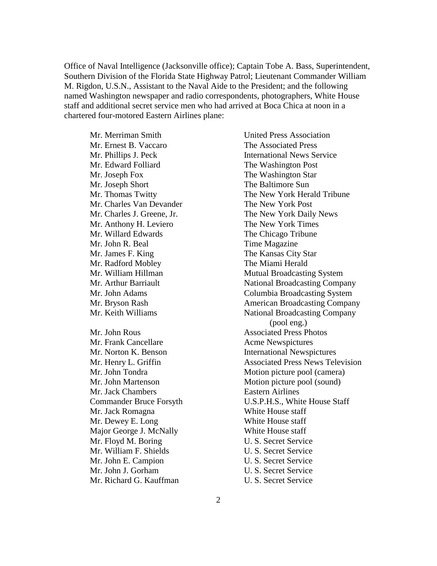Office of Naval Intelligence (Jacksonville office); Captain Tobe A. Bass, Superintendent, Southern Division of the Florida State Highway Patrol; Lieutenant Commander William M. Rigdon, U.S.N., Assistant to the Naval Aide to the President; and the following named Washington newspaper and radio correspondents, photographers, White House staff and additional secret service men who had arrived at Boca Chica at noon in a chartered four-motored Eastern Airlines plane:

 Mr. Phillips J. Peck Mr. Edward Folliard Mr. Edward Folliard Mr. Thomas Twitty Mr. James F. King Mr. Dewey E. Long Mr. Floyd M. Boring Mr. Merriman Smith Mr. Ernest B. Vaccaro Mr. Joseph Fox Mr. Joseph Short Mr. Charles Van Devander Mr. Charles J. Greene, Jr. Mr. Anthony H. Leviero Mr. Willard Edwards Mr. John R. Beal Mr. Radford Mobley Mr. William Hillman Mr. Arthur Barriault Mr. John Adams Mr. Bryson Rash Mr. Keith Williams Mr. John Rous Mr. Frank Cancellare Mr. Norton K. Benson Mr. Henry L. Griffin Mr. John Tondra Mr. John Martenson Mr. Jack Chambers Commander Bruce Forsyth Mr. Jack Romagna Mr. Dewey E. Long<br>Major George J. McNally<br>Mr. Floyd M. Boring<br>Mr. William F. Shields Mr. John E. Campion Mr. John J. Gorham Mr. Richard G. Kauffman

 The Baltimore Sun Mutual Broadcasting System National Broadcasting Company National Broadcasting Company United Press Association The Associated Press International News Service The Washington Post The Washington Star The New York Herald Tribune The New York Post The New York Daily News The New York Times The Chicago Tribune Time Magazine The Kansas City Star The Miami Herald Columbia Broadcasting System American Broadcasting Company (pool eng.) Associated Press Photos Acme Newspictures International Newspictures Associated Press News Television Motion picture pool (camera) Motion picture pool (sound) Eastern Airlines U.S.P.H.S., White House Staff White House staff White House staff White House staff U. S. Secret Service U. S. Secret Service U. S. Secret Service U. S. Secret Service U. S. Secret Service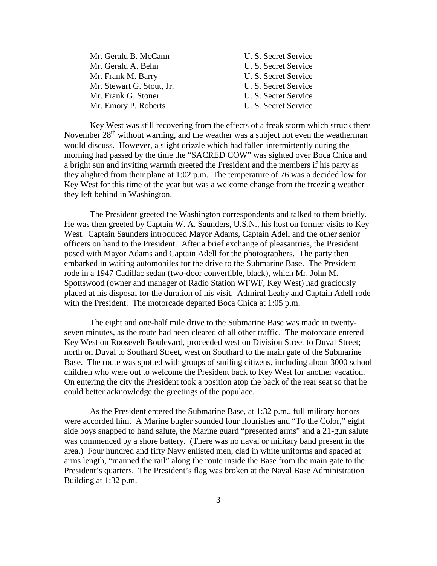| Mr. Gerald B. McCann      | U. S. Secret Service |
|---------------------------|----------------------|
| Mr. Gerald A. Behn        | U. S. Secret Service |
| Mr. Frank M. Barry        | U. S. Secret Service |
| Mr. Stewart G. Stout, Jr. | U. S. Secret Service |
| Mr. Frank G. Stoner       | U. S. Secret Service |
| Mr. Emory P. Roberts      | U. S. Secret Service |

Key West was still recovering from the effects of a freak storm which struck there November  $28<sup>th</sup>$  without warning, and the weather was a subject not even the weatherman would discuss. However, a slight drizzle which had fallen intermittently during the morning had passed by the time the "SACRED COW" was sighted over Boca Chica and a bright sun and inviting warmth greeted the President and the members if his party as they alighted from their plane at 1:02 p.m. The temperature of 76 was a decided low for Key West for this time of the year but was a welcome change from the freezing weather they left behind in Washington.

The President greeted the Washington correspondents and talked to them briefly. He was then greeted by Captain W. A. Saunders, U.S.N., his host on former visits to Key West. Captain Saunders introduced Mayor Adams, Captain Adell and the other senior officers on hand to the President. After a brief exchange of pleasantries, the President posed with Mayor Adams and Captain Adell for the photographers. The party then embarked in waiting automobiles for the drive to the Submarine Base. The President rode in a 1947 Cadillac sedan (two-door convertible, black), which Mr. John M. Spottswood (owner and manager of Radio Station WFWF, Key West) had graciously placed at his disposal for the duration of his visit. Admiral Leahy and Captain Adell rode with the President. The motorcade departed Boca Chica at 1:05 p.m.

The eight and one-half mile drive to the Submarine Base was made in twentyseven minutes, as the route had been cleared of all other traffic. The motorcade entered Key West on Roosevelt Boulevard, proceeded west on Division Street to Duval Street; north on Duval to Southard Street, west on Southard to the main gate of the Submarine Base. The route was spotted with groups of smiling citizens, including about 3000 school children who were out to welcome the President back to Key West for another vacation. On entering the city the President took a position atop the back of the rear seat so that he could better acknowledge the greetings of the populace.

As the President entered the Submarine Base, at 1:32 p.m., full military honors were accorded him. A Marine bugler sounded four flourishes and "To the Color," eight side boys snapped to hand salute, the Marine guard "presented arms" and a 21-gun salute was commenced by a shore battery. (There was no naval or military band present in the area.) Four hundred and fifty Navy enlisted men, clad in white uniforms and spaced at arms length, "manned the rail" along the route inside the Base from the main gate to the President's quarters. The President's flag was broken at the Naval Base Administration Building at 1:32 p.m.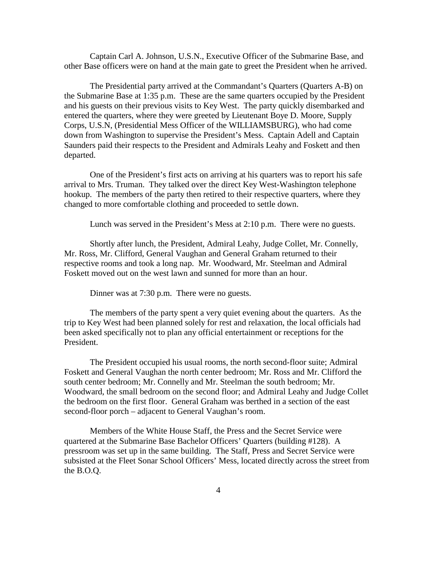Captain Carl A. Johnson, U.S.N., Executive Officer of the Submarine Base, and other Base officers were on hand at the main gate to greet the President when he arrived.

The Presidential party arrived at the Commandant's Quarters (Quarters A-B) on the Submarine Base at 1:35 p.m. These are the same quarters occupied by the President and his guests on their previous visits to Key West. The party quickly disembarked and entered the quarters, where they were greeted by Lieutenant Boye D. Moore, Supply Corps, U.S.N, (Presidential Mess Officer of the WILLIAMSBURG), who had come down from Washington to supervise the President's Mess. Captain Adell and Captain Saunders paid their respects to the President and Admirals Leahy and Foskett and then departed.

One of the President's first acts on arriving at his quarters was to report his safe arrival to Mrs. Truman. They talked over the direct Key West-Washington telephone hookup. The members of the party then retired to their respective quarters, where they changed to more comfortable clothing and proceeded to settle down.

Lunch was served in the President's Mess at 2:10 p.m. There were no guests.

Shortly after lunch, the President, Admiral Leahy, Judge Collet, Mr. Connelly, Mr. Ross, Mr. Clifford, General Vaughan and General Graham returned to their respective rooms and took a long nap. Mr. Woodward, Mr. Steelman and Admiral Foskett moved out on the west lawn and sunned for more than an hour.

Dinner was at 7:30 p.m. There were no guests.

The members of the party spent a very quiet evening about the quarters. As the trip to Key West had been planned solely for rest and relaxation, the local officials had been asked specifically not to plan any official entertainment or receptions for the President.

The President occupied his usual rooms, the north second-floor suite; Admiral Foskett and General Vaughan the north center bedroom; Mr. Ross and Mr. Clifford the south center bedroom; Mr. Connelly and Mr. Steelman the south bedroom; Mr. Woodward, the small bedroom on the second floor; and Admiral Leahy and Judge Collet the bedroom on the first floor. General Graham was berthed in a section of the east second-floor porch – adjacent to General Vaughan's room.

Members of the White House Staff, the Press and the Secret Service were quartered at the Submarine Base Bachelor Officers' Quarters (building #128). A pressroom was set up in the same building. The Staff, Press and Secret Service were subsisted at the Fleet Sonar School Officers' Mess, located directly across the street from the B.O.Q.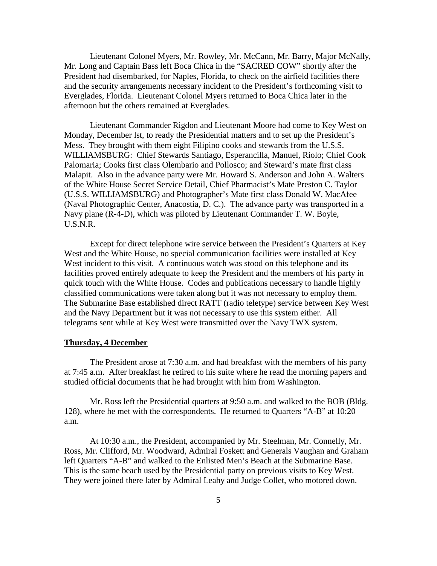Lieutenant Colonel Myers, Mr. Rowley, Mr. McCann, Mr. Barry, Major McNally, Mr. Long and Captain Bass left Boca Chica in the "SACRED COW" shortly after the President had disembarked, for Naples, Florida, to check on the airfield facilities there and the security arrangements necessary incident to the President's forthcoming visit to Everglades, Florida. Lieutenant Colonel Myers returned to Boca Chica later in the afternoon but the others remained at Everglades.

Lieutenant Commander Rigdon and Lieutenant Moore had come to Key West on Monday, December lst, to ready the Presidential matters and to set up the President's Mess. They brought with them eight Filipino cooks and stewards from the U.S.S. WILLIAMSBURG: Chief Stewards Santiago, Esperancilla, Manuel, Riolo; Chief Cook Palomaria; Cooks first class Olembario and Pollosco; and Steward's mate first class Malapit. Also in the advance party were Mr. Howard S. Anderson and John A. Walters of the White House Secret Service Detail, Chief Pharmacist's Mate Preston C. Taylor (U.S.S. WILLIAMSBURG) and Photographer's Mate first class Donald W. MacAfee (Naval Photographic Center, Anacostia, D. C.). The advance party was transported in a Navy plane (R-4-D), which was piloted by Lieutenant Commander T. W. Boyle, U.S.N.R.

Except for direct telephone wire service between the President's Quarters at Key West and the White House, no special communication facilities were installed at Key West incident to this visit. A continuous watch was stood on this telephone and its facilities proved entirely adequate to keep the President and the members of his party in quick touch with the White House. Codes and publications necessary to handle highly classified communications were taken along but it was not necessary to employ them. The Submarine Base established direct RATT (radio teletype) service between Key West and the Navy Department but it was not necessary to use this system either. All telegrams sent while at Key West were transmitted over the Navy TWX system.

### **Thursday, 4 December**

The President arose at 7:30 a.m. and had breakfast with the members of his party at 7:45 a.m. After breakfast he retired to his suite where he read the morning papers and studied official documents that he had brought with him from Washington.

Mr. Ross left the Presidential quarters at 9:50 a.m. and walked to the BOB (Bldg. 128), where he met with the correspondents. He returned to Quarters "A-B" at 10:20 a.m.

At 10:30 a.m., the President, accompanied by Mr. Steelman, Mr. Connelly, Mr. Ross, Mr. Clifford, Mr. Woodward, Admiral Foskett and Generals Vaughan and Graham left Quarters "A-B" and walked to the Enlisted Men's Beach at the Submarine Base. This is the same beach used by the Presidential party on previous visits to Key West. They were joined there later by Admiral Leahy and Judge Collet, who motored down.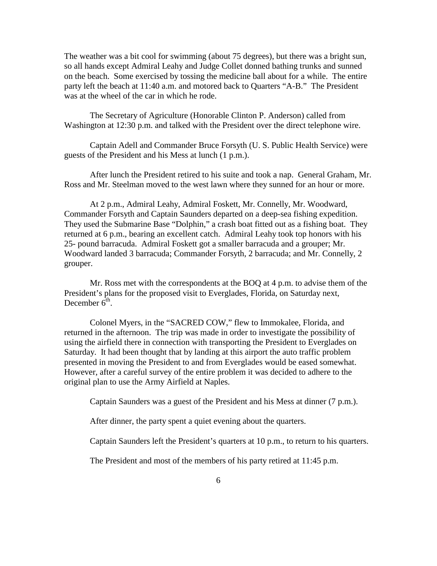The weather was a bit cool for swimming (about 75 degrees), but there was a bright sun, so all hands except Admiral Leahy and Judge Collet donned bathing trunks and sunned on the beach. Some exercised by tossing the medicine ball about for a while. The entire party left the beach at 11:40 a.m. and motored back to Quarters "A-B." The President was at the wheel of the car in which he rode.

The Secretary of Agriculture (Honorable Clinton P. Anderson) called from Washington at 12:30 p.m. and talked with the President over the direct telephone wire.

Captain Adell and Commander Bruce Forsyth (U. S. Public Health Service) were guests of the President and his Mess at lunch (1 p.m.).

After lunch the President retired to his suite and took a nap. General Graham, Mr. Ross and Mr. Steelman moved to the west lawn where they sunned for an hour or more.

At 2 p.m., Admiral Leahy, Admiral Foskett, Mr. Connelly, Mr. Woodward, Commander Forsyth and Captain Saunders departed on a deep-sea fishing expedition. They used the Submarine Base "Dolphin," a crash boat fitted out as a fishing boat. They returned at 6 p.m., bearing an excellent catch. Admiral Leahy took top honors with his 25- pound barracuda. Admiral Foskett got a smaller barracuda and a grouper; Mr. Woodward landed 3 barracuda; Commander Forsyth, 2 barracuda; and Mr. Connelly, 2 grouper.

Mr. Ross met with the correspondents at the BOQ at 4 p.m. to advise them of the President's plans for the proposed visit to Everglades, Florida, on Saturday next, December  $6<sup>th</sup>$ .

Colonel Myers, in the "SACRED COW," flew to Immokalee, Florida, and returned in the afternoon. The trip was made in order to investigate the possibility of using the airfield there in connection with transporting the President to Everglades on Saturday. It had been thought that by landing at this airport the auto traffic problem presented in moving the President to and from Everglades would be eased somewhat. However, after a careful survey of the entire problem it was decided to adhere to the original plan to use the Army Airfield at Naples.

Captain Saunders was a guest of the President and his Mess at dinner (7 p.m.).

After dinner, the party spent a quiet evening about the quarters.

Captain Saunders left the President's quarters at 10 p.m., to return to his quarters.

The President and most of the members of his party retired at 11:45 p.m.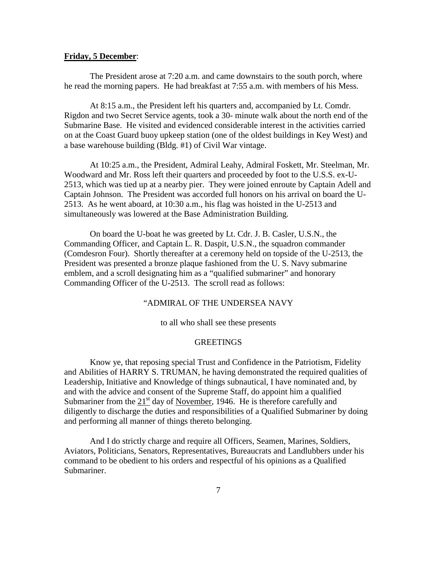### **Friday, 5 December**:

The President arose at 7:20 a.m. and came downstairs to the south porch, where he read the morning papers. He had breakfast at 7:55 a.m. with members of his Mess.

At 8:15 a.m., the President left his quarters and, accompanied by Lt. Comdr. Rigdon and two Secret Service agents, took a 30- minute walk about the north end of the Submarine Base. He visited and evidenced considerable interest in the activities carried on at the Coast Guard buoy upkeep station (one of the oldest buildings in Key West) and a base warehouse building (Bldg. #1) of Civil War vintage.

At 10:25 a.m., the President, Admiral Leahy, Admiral Foskett, Mr. Steelman, Mr. Woodward and Mr. Ross left their quarters and proceeded by foot to the U.S.S. ex-U-2513, which was tied up at a nearby pier. They were joined enroute by Captain Adell and Captain Johnson. The President was accorded full honors on his arrival on board the U-2513. As he went aboard, at 10:30 a.m., his flag was hoisted in the U-2513 and simultaneously was lowered at the Base Administration Building.

On board the U-boat he was greeted by Lt. Cdr. J. B. Casler, U.S.N., the Commanding Officer, and Captain L. R. Daspit, U.S.N., the squadron commander (Comdesron Four). Shortly thereafter at a ceremony held on topside of the U-2513, the President was presented a bronze plaque fashioned from the U. S. Navy submarine emblem, and a scroll designating him as a "qualified submariner" and honorary Commanding Officer of the U-2513. The scroll read as follows:

## "ADMIRAL OF THE UNDERSEA NAVY

to all who shall see these presents

## **GREETINGS**

Know ye, that reposing special Trust and Confidence in the Patriotism, Fidelity and Abilities of HARRY S. TRUMAN, he having demonstrated the required qualities of Leadership, Initiative and Knowledge of things subnautical, I have nominated and, by and with the advice and consent of the Supreme Staff, do appoint him a qualified Submariner from the  $21<sup>st</sup>$  day of November, 1946. He is therefore carefully and diligently to discharge the duties and responsibilities of a Qualified Submariner by doing and performing all manner of things thereto belonging.

And I do strictly charge and require all Officers, Seamen, Marines, Soldiers, Aviators, Politicians, Senators, Representatives, Bureaucrats and Landlubbers under his command to be obedient to his orders and respectful of his opinions as a Qualified Submariner.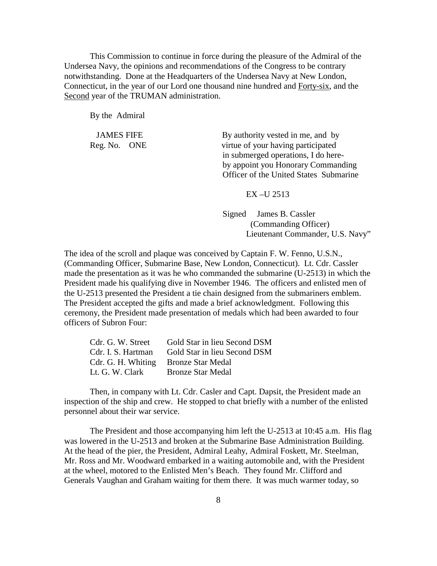This Commission to continue in force during the pleasure of the Admiral of the Undersea Navy, the opinions and recommendations of the Congress to be contrary notwithstanding. Done at the Headquarters of the Undersea Navy at New London, Connecticut, in the year of our Lord one thousand nine hundred and Forty-six, and the Second year of the TRUMAN administration.

By the Admiral

Reg. No. ONE

JAMES FIFE By authority vested in me, and by virtue of your having participated in submerged operations, I do here by appoint you Honorary Commanding Officer of the United States Submarine

### EX –U 2513

 Signed James B. Cassler (Commanding Officer) Lieutenant Commander, U.S. Navy"

The idea of the scroll and plaque was conceived by Captain F. W. Fenno, U.S.N., (Commanding Officer, Submarine Base, New London, Connecticut). Lt. Cdr. Cassler made the presentation as it was he who commanded the submarine (U-2513) in which the President made his qualifying dive in November 1946. The officers and enlisted men of the U-2513 presented the President a tie chain designed from the submariners emblem. The President accepted the gifts and made a brief acknowledgment. Following this ceremony, the President made presentation of medals which had been awarded to four officers of Subron Four:

| Cdr. G. W. Street                    | Gold Star in lieu Second DSM |
|--------------------------------------|------------------------------|
| Cdr. I. S. Hartman                   | Gold Star in lieu Second DSM |
| Cdr. G. H. Whiting Bronze Star Medal |                              |
| Lt. G. W. Clark                      | <b>Bronze Star Medal</b>     |

Then, in company with Lt. Cdr. Casler and Capt. Dapsit, the President made an inspection of the ship and crew. He stopped to chat briefly with a number of the enlisted personnel about their war service.

was lowered in the U-2513 and broken at the Submarine Base Administration Building. The President and those accompanying him left the U-2513 at 10:45 a.m. His flag At the head of the pier, the President, Admiral Leahy, Admiral Foskett, Mr. Steelman, Mr. Ross and Mr. Woodward embarked in a waiting automobile and, with the President at the wheel, motored to the Enlisted Men's Beach. They found Mr. Clifford and Generals Vaughan and Graham waiting for them there. It was much warmer today, so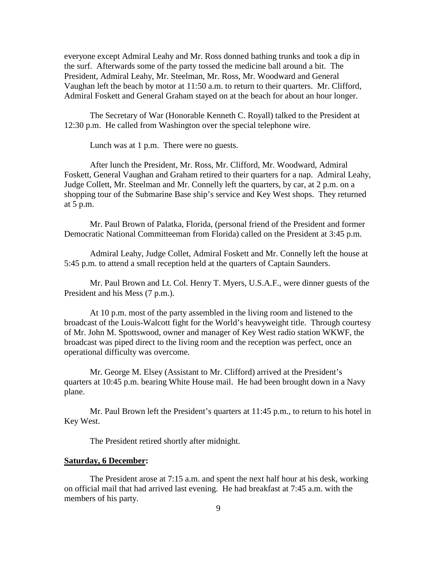everyone except Admiral Leahy and Mr. Ross donned bathing trunks and took a dip in the surf. Afterwards some of the party tossed the medicine ball around a bit. The President, Admiral Leahy, Mr. Steelman, Mr. Ross, Mr. Woodward and General Vaughan left the beach by motor at 11:50 a.m. to return to their quarters. Mr. Clifford, Admiral Foskett and General Graham stayed on at the beach for about an hour longer.

The Secretary of War (Honorable Kenneth C. Royall) talked to the President at 12:30 p.m. He called from Washington over the special telephone wire.

Lunch was at 1 p.m. There were no guests.

After lunch the President, Mr. Ross, Mr. Clifford, Mr. Woodward, Admiral Foskett, General Vaughan and Graham retired to their quarters for a nap. Admiral Leahy, Judge Collett, Mr. Steelman and Mr. Connelly left the quarters, by car, at 2 p.m. on a shopping tour of the Submarine Base ship's service and Key West shops. They returned at 5 p.m.

Mr. Paul Brown of Palatka, Florida, (personal friend of the President and former Democratic National Committeeman from Florida) called on the President at 3:45 p.m.

Admiral Leahy, Judge Collet, Admiral Foskett and Mr. Connelly left the house at 5:45 p.m. to attend a small reception held at the quarters of Captain Saunders.

Mr. Paul Brown and Lt. Col. Henry T. Myers, U.S.A.F., were dinner guests of the President and his Mess (7 p.m.).

At 10 p.m. most of the party assembled in the living room and listened to the broadcast of the Louis-Walcott fight for the World's heavyweight title. Through courtesy of Mr. John M. Spottswood, owner and manager of Key West radio station WKWF, the broadcast was piped direct to the living room and the reception was perfect, once an operational difficulty was overcome.

Mr. George M. Elsey (Assistant to Mr. Clifford) arrived at the President's quarters at 10:45 p.m. bearing White House mail. He had been brought down in a Navy plane.

Mr. Paul Brown left the President's quarters at 11:45 p.m., to return to his hotel in Key West.

The President retired shortly after midnight.

### **Saturday, 6 December:**

The President arose at 7:15 a.m. and spent the next half hour at his desk, working on official mail that had arrived last evening. He had breakfast at 7:45 a.m. with the members of his party.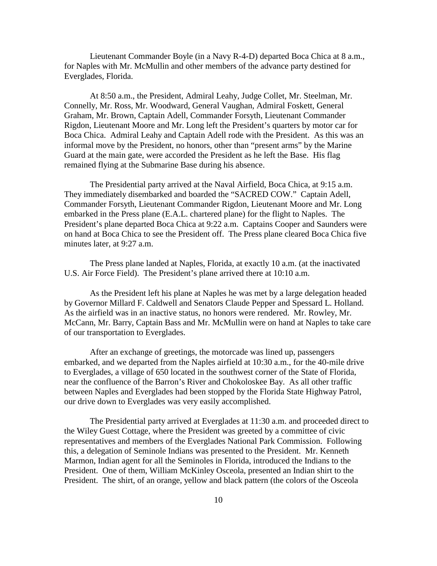Lieutenant Commander Boyle (in a Navy R-4-D) departed Boca Chica at 8 a.m., for Naples with Mr. McMullin and other members of the advance party destined for Everglades, Florida.

At 8:50 a.m., the President, Admiral Leahy, Judge Collet, Mr. Steelman, Mr. Connelly, Mr. Ross, Mr. Woodward, General Vaughan, Admiral Foskett, General Graham, Mr. Brown, Captain Adell, Commander Forsyth, Lieutenant Commander Rigdon, Lieutenant Moore and Mr. Long left the President's quarters by motor car for Boca Chica. Admiral Leahy and Captain Adell rode with the President. As this was an informal move by the President, no honors, other than "present arms" by the Marine Guard at the main gate, were accorded the President as he left the Base. His flag remained flying at the Submarine Base during his absence.

The Presidential party arrived at the Naval Airfield, Boca Chica, at 9:15 a.m. They immediately disembarked and boarded the "SACRED COW." Captain Adell, Commander Forsyth, Lieutenant Commander Rigdon, Lieutenant Moore and Mr. Long embarked in the Press plane (E.A.L. chartered plane) for the flight to Naples. The President's plane departed Boca Chica at 9:22 a.m. Captains Cooper and Saunders were on hand at Boca Chica to see the President off. The Press plane cleared Boca Chica five minutes later, at 9:27 a.m.

The Press plane landed at Naples, Florida, at exactly 10 a.m. (at the inactivated U.S. Air Force Field). The President's plane arrived there at 10:10 a.m.

As the President left his plane at Naples he was met by a large delegation headed by Governor Millard F. Caldwell and Senators Claude Pepper and Spessard L. Holland. As the airfield was in an inactive status, no honors were rendered. Mr. Rowley, Mr. McCann, Mr. Barry, Captain Bass and Mr. McMullin were on hand at Naples to take care of our transportation to Everglades.

After an exchange of greetings, the motorcade was lined up, passengers embarked, and we departed from the Naples airfield at 10:30 a.m., for the 40-mile drive to Everglades, a village of 650 located in the southwest corner of the State of Florida, near the confluence of the Barron's River and Chokoloskee Bay. As all other traffic between Naples and Everglades had been stopped by the Florida State Highway Patrol, our drive down to Everglades was very easily accomplished.

The Presidential party arrived at Everglades at 11:30 a.m. and proceeded direct to the Wiley Guest Cottage, where the President was greeted by a committee of civic representatives and members of the Everglades National Park Commission. Following this, a delegation of Seminole Indians was presented to the President. Mr. Kenneth Marmon, Indian agent for all the Seminoles in Florida, introduced the Indians to the President. One of them, William McKinley Osceola, presented an Indian shirt to the President. The shirt, of an orange, yellow and black pattern (the colors of the Osceola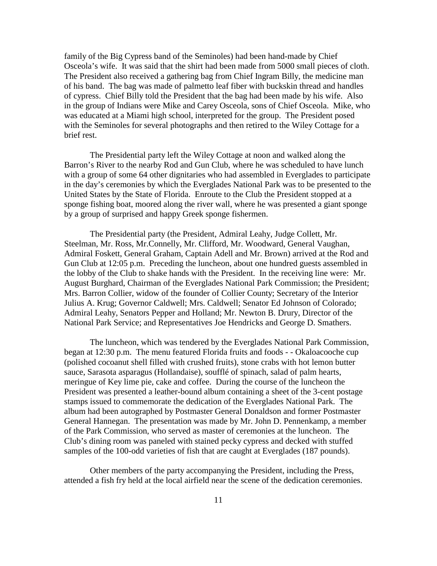family of the Big Cypress band of the Seminoles) had been hand-made by Chief Osceola's wife. It was said that the shirt had been made from 5000 small pieces of cloth. The President also received a gathering bag from Chief Ingram Billy, the medicine man of his band. The bag was made of palmetto leaf fiber with buckskin thread and handles of cypress. Chief Billy told the President that the bag had been made by his wife. Also in the group of Indians were Mike and Carey Osceola, sons of Chief Osceola. Mike, who was educated at a Miami high school, interpreted for the group. The President posed with the Seminoles for several photographs and then retired to the Wiley Cottage for a brief rest.

The Presidential party left the Wiley Cottage at noon and walked along the Barron's River to the nearby Rod and Gun Club, where he was scheduled to have lunch with a group of some 64 other dignitaries who had assembled in Everglades to participate in the day's ceremonies by which the Everglades National Park was to be presented to the United States by the State of Florida. Enroute to the Club the President stopped at a sponge fishing boat, moored along the river wall, where he was presented a giant sponge by a group of surprised and happy Greek sponge fishermen.

The Presidential party (the President, Admiral Leahy, Judge Collett, Mr. Steelman, Mr. Ross, Mr.Connelly, Mr. Clifford, Mr. Woodward, General Vaughan, Admiral Foskett, General Graham, Captain Adell and Mr. Brown) arrived at the Rod and Gun Club at 12:05 p.m. Preceding the luncheon, about one hundred guests assembled in the lobby of the Club to shake hands with the President. In the receiving line were: Mr. August Burghard, Chairman of the Everglades National Park Commission; the President; Mrs. Barron Collier, widow of the founder of Collier County; Secretary of the Interior Julius A. Krug; Governor Caldwell; Mrs. Caldwell; Senator Ed Johnson of Colorado; Admiral Leahy, Senators Pepper and Holland; Mr. Newton B. Drury, Director of the National Park Service; and Representatives Joe Hendricks and George D. Smathers.

The luncheon, which was tendered by the Everglades National Park Commission, began at 12:30 p.m. The menu featured Florida fruits and foods - - Okaloacooche cup (polished cocoanut shell filled with crushed fruits), stone crabs with hot lemon butter sauce, Sarasota asparagus (Hollandaise), soufflé of spinach, salad of palm hearts, meringue of Key lime pie, cake and coffee. During the course of the luncheon the President was presented a leather-bound album containing a sheet of the 3-cent postage stamps issued to commemorate the dedication of the Everglades National Park. The album had been autographed by Postmaster General Donaldson and former Postmaster General Hannegan. The presentation was made by Mr. John D. Pennenkamp, a member of the Park Commission, who served as master of ceremonies at the luncheon. The Club's dining room was paneled with stained pecky cypress and decked with stuffed samples of the 100-odd varieties of fish that are caught at Everglades (187 pounds).

Other members of the party accompanying the President, including the Press, attended a fish fry held at the local airfield near the scene of the dedication ceremonies.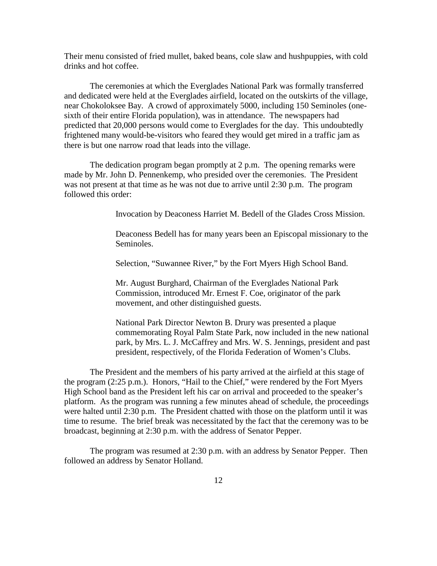Their menu consisted of fried mullet, baked beans, cole slaw and hushpuppies, with cold drinks and hot coffee.

The ceremonies at which the Everglades National Park was formally transferred and dedicated were held at the Everglades airfield, located on the outskirts of the village, near Chokoloksee Bay. A crowd of approximately 5000, including 150 Seminoles (onesixth of their entire Florida population), was in attendance. The newspapers had predicted that 20,000 persons would come to Everglades for the day. This undoubtedly frightened many would-be-visitors who feared they would get mired in a traffic jam as there is but one narrow road that leads into the village.

The dedication program began promptly at 2 p.m. The opening remarks were made by Mr. John D. Pennenkemp, who presided over the ceremonies. The President was not present at that time as he was not due to arrive until 2:30 p.m. The program followed this order:

Invocation by Deaconess Harriet M. Bedell of the Glades Cross Mission.

Deaconess Bedell has for many years been an Episcopal missionary to the Seminoles.

Selection, "Suwannee River," by the Fort Myers High School Band.

Mr. August Burghard, Chairman of the Everglades National Park Commission, introduced Mr. Ernest F. Coe, originator of the park movement, and other distinguished guests.

National Park Director Newton B. Drury was presented a plaque commemorating Royal Palm State Park, now included in the new national park, by Mrs. L. J. McCaffrey and Mrs. W. S. Jennings, president and past president, respectively, of the Florida Federation of Women's Clubs.

The President and the members of his party arrived at the airfield at this stage of the program (2:25 p.m.). Honors, "Hail to the Chief," were rendered by the Fort Myers High School band as the President left his car on arrival and proceeded to the speaker's platform. As the program was running a few minutes ahead of schedule, the proceedings were halted until 2:30 p.m. The President chatted with those on the platform until it was time to resume. The brief break was necessitated by the fact that the ceremony was to be broadcast, beginning at 2:30 p.m. with the address of Senator Pepper.

The program was resumed at 2:30 p.m. with an address by Senator Pepper. Then followed an address by Senator Holland.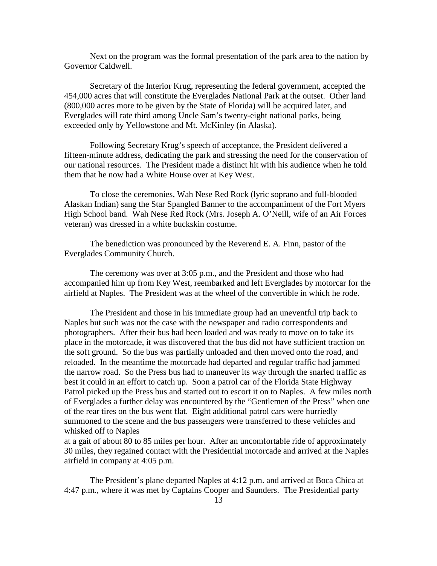Next on the program was the formal presentation of the park area to the nation by Governor Caldwell.

Secretary of the Interior Krug, representing the federal government, accepted the 454,000 acres that will constitute the Everglades National Park at the outset. Other land (800,000 acres more to be given by the State of Florida) will be acquired later, and Everglades will rate third among Uncle Sam's twenty-eight national parks, being exceeded only by Yellowstone and Mt. McKinley (in Alaska).

Following Secretary Krug's speech of acceptance, the President delivered a fifteen-minute address, dedicating the park and stressing the need for the conservation of our national resources. The President made a distinct hit with his audience when he told them that he now had a White House over at Key West.

To close the ceremonies, Wah Nese Red Rock (lyric soprano and full-blooded Alaskan Indian) sang the Star Spangled Banner to the accompaniment of the Fort Myers High School band. Wah Nese Red Rock (Mrs. Joseph A. O'Neill, wife of an Air Forces veteran) was dressed in a white buckskin costume.

The benediction was pronounced by the Reverend E. A. Finn, pastor of the Everglades Community Church.

The ceremony was over at 3:05 p.m., and the President and those who had accompanied him up from Key West, reembarked and left Everglades by motorcar for the airfield at Naples. The President was at the wheel of the convertible in which he rode.

The President and those in his immediate group had an uneventful trip back to Naples but such was not the case with the newspaper and radio correspondents and photographers. After their bus had been loaded and was ready to move on to take its place in the motorcade, it was discovered that the bus did not have sufficient traction on the soft ground. So the bus was partially unloaded and then moved onto the road, and reloaded. In the meantime the motorcade had departed and regular traffic had jammed the narrow road. So the Press bus had to maneuver its way through the snarled traffic as best it could in an effort to catch up. Soon a patrol car of the Florida State Highway Patrol picked up the Press bus and started out to escort it on to Naples. A few miles north of Everglades a further delay was encountered by the "Gentlemen of the Press" when one of the rear tires on the bus went flat. Eight additional patrol cars were hurriedly summoned to the scene and the bus passengers were transferred to these vehicles and whisked off to Naples

at a gait of about 80 to 85 miles per hour. After an uncomfortable ride of approximately 30 miles, they regained contact with the Presidential motorcade and arrived at the Naples airfield in company at 4:05 p.m.

The President's plane departed Naples at 4:12 p.m. and arrived at Boca Chica at 4:47 p.m., where it was met by Captains Cooper and Saunders. The Presidential party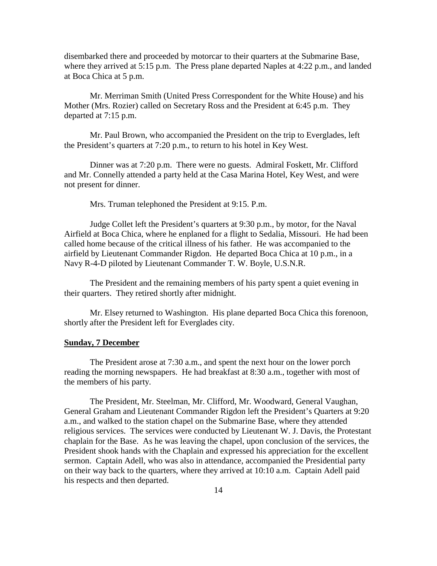disembarked there and proceeded by motorcar to their quarters at the Submarine Base, where they arrived at 5:15 p.m. The Press plane departed Naples at 4:22 p.m., and landed at Boca Chica at 5 p.m.

Mr. Merriman Smith (United Press Correspondent for the White House) and his Mother (Mrs. Rozier) called on Secretary Ross and the President at 6:45 p.m. They departed at 7:15 p.m.

Mr. Paul Brown, who accompanied the President on the trip to Everglades, left the President's quarters at 7:20 p.m., to return to his hotel in Key West.

Dinner was at 7:20 p.m. There were no guests. Admiral Foskett, Mr. Clifford and Mr. Connelly attended a party held at the Casa Marina Hotel, Key West, and were not present for dinner.

Mrs. Truman telephoned the President at 9:15. P.m.

Judge Collet left the President's quarters at 9:30 p.m., by motor, for the Naval Airfield at Boca Chica, where he enplaned for a flight to Sedalia, Missouri. He had been called home because of the critical illness of his father. He was accompanied to the airfield by Lieutenant Commander Rigdon. He departed Boca Chica at 10 p.m., in a Navy R-4-D piloted by Lieutenant Commander T. W. Boyle, U.S.N.R.

The President and the remaining members of his party spent a quiet evening in their quarters. They retired shortly after midnight.

Mr. Elsey returned to Washington. His plane departed Boca Chica this forenoon, shortly after the President left for Everglades city.

### **Sunday, 7 December**

The President arose at 7:30 a.m., and spent the next hour on the lower porch reading the morning newspapers. He had breakfast at 8:30 a.m., together with most of the members of his party.

The President, Mr. Steelman, Mr. Clifford, Mr. Woodward, General Vaughan, General Graham and Lieutenant Commander Rigdon left the President's Quarters at 9:20 a.m., and walked to the station chapel on the Submarine Base, where they attended religious services. The services were conducted by Lieutenant W. J. Davis, the Protestant chaplain for the Base. As he was leaving the chapel, upon conclusion of the services, the President shook hands with the Chaplain and expressed his appreciation for the excellent sermon. Captain Adell, who was also in attendance, accompanied the Presidential party on their way back to the quarters, where they arrived at 10:10 a.m. Captain Adell paid his respects and then departed.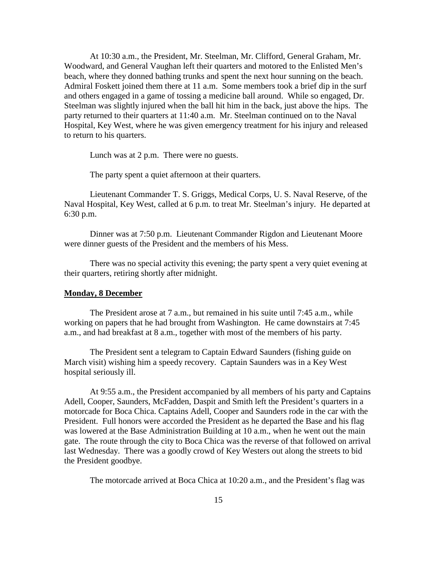At 10:30 a.m., the President, Mr. Steelman, Mr. Clifford, General Graham, Mr. Woodward, and General Vaughan left their quarters and motored to the Enlisted Men's beach, where they donned bathing trunks and spent the next hour sunning on the beach. Admiral Foskett joined them there at 11 a.m. Some members took a brief dip in the surf and others engaged in a game of tossing a medicine ball around. While so engaged, Dr. Steelman was slightly injured when the ball hit him in the back, just above the hips. The party returned to their quarters at 11:40 a.m. Mr. Steelman continued on to the Naval Hospital, Key West, where he was given emergency treatment for his injury and released to return to his quarters.

Lunch was at 2 p.m. There were no guests.

The party spent a quiet afternoon at their quarters.

Lieutenant Commander T. S. Griggs, Medical Corps, U. S. Naval Reserve, of the Naval Hospital, Key West, called at 6 p.m. to treat Mr. Steelman's injury. He departed at 6:30 p.m.

Dinner was at 7:50 p.m. Lieutenant Commander Rigdon and Lieutenant Moore were dinner guests of the President and the members of his Mess.

There was no special activity this evening; the party spent a very quiet evening at their quarters, retiring shortly after midnight.

### **Monday, 8 December**

The President arose at 7 a.m., but remained in his suite until 7:45 a.m., while working on papers that he had brought from Washington. He came downstairs at 7:45 a.m., and had breakfast at 8 a.m., together with most of the members of his party.

The President sent a telegram to Captain Edward Saunders (fishing guide on March visit) wishing him a speedy recovery. Captain Saunders was in a Key West hospital seriously ill.

At 9:55 a.m., the President accompanied by all members of his party and Captains Adell, Cooper, Saunders, McFadden, Daspit and Smith left the President's quarters in a motorcade for Boca Chica. Captains Adell, Cooper and Saunders rode in the car with the President. Full honors were accorded the President as he departed the Base and his flag was lowered at the Base Administration Building at 10 a.m., when he went out the main gate. The route through the city to Boca Chica was the reverse of that followed on arrival last Wednesday. There was a goodly crowd of Key Westers out along the streets to bid the President goodbye.

The motorcade arrived at Boca Chica at 10:20 a.m., and the President's flag was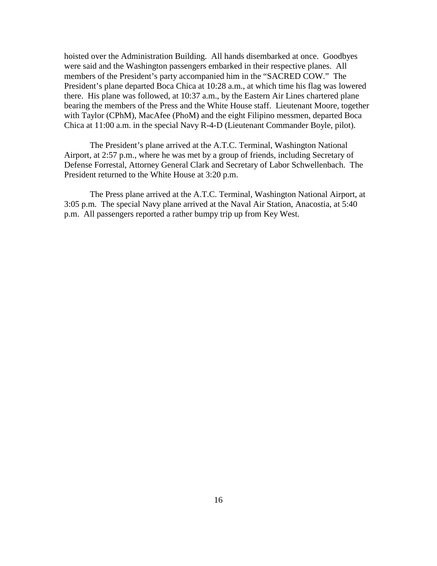hoisted over the Administration Building. All hands disembarked at once. Goodbyes were said and the Washington passengers embarked in their respective planes. All members of the President's party accompanied him in the "SACRED COW." The President's plane departed Boca Chica at 10:28 a.m., at which time his flag was lowered there. His plane was followed, at 10:37 a.m., by the Eastern Air Lines chartered plane bearing the members of the Press and the White House staff. Lieutenant Moore, together with Taylor (CPhM), MacAfee (PhoM) and the eight Filipino messmen, departed Boca Chica at 11:00 a.m. in the special Navy R-4-D (Lieutenant Commander Boyle, pilot).

The President's plane arrived at the A.T.C. Terminal, Washington National Airport, at 2:57 p.m., where he was met by a group of friends, including Secretary of Defense Forrestal, Attorney General Clark and Secretary of Labor Schwellenbach. The President returned to the White House at 3:20 p.m.

The Press plane arrived at the A.T.C. Terminal, Washington National Airport, at 3:05 p.m. The special Navy plane arrived at the Naval Air Station, Anacostia, at 5:40 p.m. All passengers reported a rather bumpy trip up from Key West.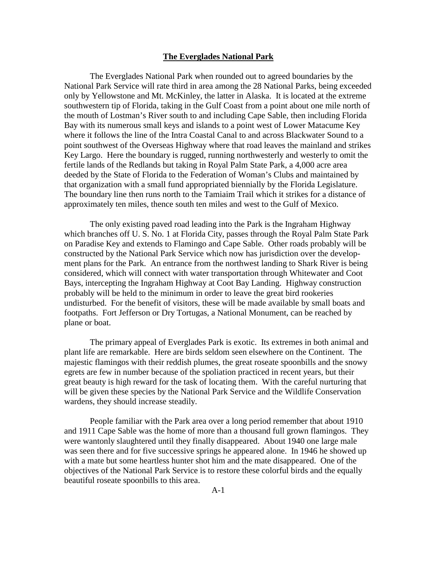#### **The Everglades National Park**

The Everglades National Park when rounded out to agreed boundaries by the National Park Service will rate third in area among the 28 National Parks, being exceeded only by Yellowstone and Mt. McKinley, the latter in Alaska. It is located at the extreme southwestern tip of Florida, taking in the Gulf Coast from a point about one mile north of the mouth of Lostman's River south to and including Cape Sable, then including Florida Bay with its numerous small keys and islands to a point west of Lower Matacume Key where it follows the line of the Intra Coastal Canal to and across Blackwater Sound to a point southwest of the Overseas Highway where that road leaves the mainland and strikes Key Largo. Here the boundary is rugged, running northwesterly and westerly to omit the fertile lands of the Redlands but taking in Royal Palm State Park, a 4,000 acre area deeded by the State of Florida to the Federation of Woman's Clubs and maintained by that organization with a small fund appropriated biennially by the Florida Legislature. The boundary line then runs north to the Tamiaim Trail which it strikes for a distance of approximately ten miles, thence south ten miles and west to the Gulf of Mexico.

The only existing paved road leading into the Park is the Ingraham Highway which branches off U. S. No. 1 at Florida City, passes through the Royal Palm State Park on Paradise Key and extends to Flamingo and Cape Sable. Other roads probably will be constructed by the National Park Service which now has jurisdiction over the development plans for the Park. An entrance from the northwest landing to Shark River is being considered, which will connect with water transportation through Whitewater and Coot Bays, intercepting the Ingraham Highway at Coot Bay Landing. Highway construction probably will be held to the minimum in order to leave the great bird rookeries undisturbed. For the benefit of visitors, these will be made available by small boats and footpaths. Fort Jefferson or Dry Tortugas, a National Monument, can be reached by plane or boat.

The primary appeal of Everglades Park is exotic. Its extremes in both animal and plant life are remarkable. Here are birds seldom seen elsewhere on the Continent. The majestic flamingos with their reddish plumes, the great roseate spoonbills and the snowy egrets are few in number because of the spoliation practiced in recent years, but their great beauty is high reward for the task of locating them. With the careful nurturing that will be given these species by the National Park Service and the Wildlife Conservation wardens, they should increase steadily.

People familiar with the Park area over a long period remember that about 1910 and 1911 Cape Sable was the home of more than a thousand full grown flamingos. They were wantonly slaughtered until they finally disappeared. About 1940 one large male was seen there and for five successive springs he appeared alone. In 1946 he showed up with a mate but some heartless hunter shot him and the mate disappeared. One of the objectives of the National Park Service is to restore these colorful birds and the equally beautiful roseate spoonbills to this area.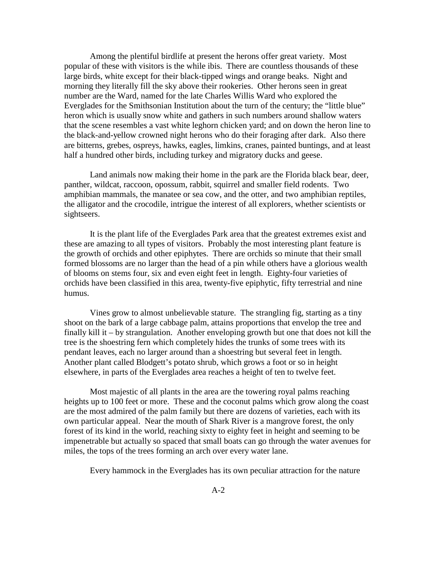Among the plentiful birdlife at present the herons offer great variety. Most popular of these with visitors is the while ibis. There are countless thousands of these large birds, white except for their black-tipped wings and orange beaks. Night and morning they literally fill the sky above their rookeries. Other herons seen in great number are the Ward, named for the late Charles Willis Ward who explored the Everglades for the Smithsonian Institution about the turn of the century; the "little blue" heron which is usually snow white and gathers in such numbers around shallow waters that the scene resembles a vast white leghorn chicken yard; and on down the heron line to the black-and-yellow crowned night herons who do their foraging after dark. Also there are bitterns, grebes, ospreys, hawks, eagles, limkins, cranes, painted buntings, and at least half a hundred other birds, including turkey and migratory ducks and geese.

Land animals now making their home in the park are the Florida black bear, deer, panther, wildcat, raccoon, opossum, rabbit, squirrel and smaller field rodents. Two amphibian mammals, the manatee or sea cow, and the otter, and two amphibian reptiles, the alligator and the crocodile, intrigue the interest of all explorers, whether scientists or sightseers.

It is the plant life of the Everglades Park area that the greatest extremes exist and these are amazing to all types of visitors. Probably the most interesting plant feature is the growth of orchids and other epiphytes. There are orchids so minute that their small formed blossoms are no larger than the head of a pin while others have a glorious wealth of blooms on stems four, six and even eight feet in length. Eighty-four varieties of orchids have been classified in this area, twenty-five epiphytic, fifty terrestrial and nine humus.

Vines grow to almost unbelievable stature. The strangling fig, starting as a tiny shoot on the bark of a large cabbage palm, attains proportions that envelop the tree and finally kill it – by strangulation. Another enveloping growth but one that does not kill the tree is the shoestring fern which completely hides the trunks of some trees with its pendant leaves, each no larger around than a shoestring but several feet in length. Another plant called Blodgett's potato shrub, which grows a foot or so in height elsewhere, in parts of the Everglades area reaches a height of ten to twelve feet.

Most majestic of all plants in the area are the towering royal palms reaching heights up to 100 feet or more. These and the coconut palms which grow along the coast are the most admired of the palm family but there are dozens of varieties, each with its own particular appeal. Near the mouth of Shark River is a mangrove forest, the only forest of its kind in the world, reaching sixty to eighty feet in height and seeming to be impenetrable but actually so spaced that small boats can go through the water avenues for miles, the tops of the trees forming an arch over every water lane.

Every hammock in the Everglades has its own peculiar attraction for the nature